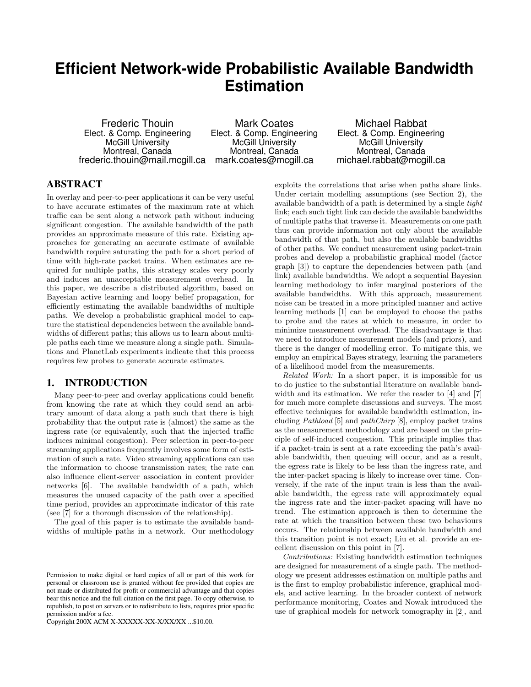# **Efficient Network-wide Probabilistic Available Bandwidth Estimation**

Frederic Thouin Elect. & Comp. Engineering McGill University Montreal, Canada frederic.thouin@mail.mcgill.ca mark.coates@mcgill.ca

Mark Coates Elect. & Comp. Engineering McGill University Montreal, Canada

Michael Rabbat Elect. & Comp. Engineering McGill University Montreal, Canada michael.rabbat@mcgill.ca

# ABSTRACT

In overlay and peer-to-peer applications it can be very useful to have accurate estimates of the maximum rate at which traffic can be sent along a network path without inducing significant congestion. The available bandwidth of the path provides an approximate measure of this rate. Existing approaches for generating an accurate estimate of available bandwidth require saturating the path for a short period of time with high-rate packet trains. When estimates are required for multiple paths, this strategy scales very poorly and induces an unacceptable measurement overhead. In this paper, we describe a distributed algorithm, based on Bayesian active learning and loopy belief propagation, for efficiently estimating the available bandwidths of multiple paths. We develop a probabilistic graphical model to capture the statistical dependencies between the available bandwidths of different paths; this allows us to learn about multiple paths each time we measure along a single path. Simulations and PlanetLab experiments indicate that this process requires few probes to generate accurate estimates.

## 1. INTRODUCTION

Many peer-to-peer and overlay applications could benefit from knowing the rate at which they could send an arbitrary amount of data along a path such that there is high probability that the output rate is (almost) the same as the ingress rate (or equivalently, such that the injected traffic induces minimal congestion). Peer selection in peer-to-peer streaming applications frequently involves some form of estimation of such a rate. Video streaming applications can use the information to choose transmission rates; the rate can also influence client-server association in content provider networks [6]. The available bandwidth of a path, which measures the unused capacity of the path over a specified time period, provides an approximate indicator of this rate (see [7] for a thorough discussion of the relationship).

The goal of this paper is to estimate the available bandwidths of multiple paths in a network. Our methodology

Copyright 200X ACM X-XXXXX-XX-X/XX/XX ...\$10.00.

exploits the correlations that arise when paths share links. Under certain modelling assumptions (see Section 2), the available bandwidth of a path is determined by a single tight link; each such tight link can decide the available bandwidths of multiple paths that traverse it. Measurements on one path thus can provide information not only about the available bandwidth of that path, but also the available bandwidths of other paths. We conduct measurement using packet-train probes and develop a probabilistic graphical model (factor graph [3]) to capture the dependencies between path (and link) available bandwidths. We adopt a sequential Bayesian learning methodology to infer marginal posteriors of the available bandwidths. With this approach, measurement noise can be treated in a more principled manner and active learning methods [1] can be employed to choose the paths to probe and the rates at which to measure, in order to minimize measurement overhead. The disadvantage is that we need to introduce measurement models (and priors), and there is the danger of modelling error. To mitigate this, we employ an empirical Bayes strategy, learning the parameters of a likelihood model from the measurements.

Related Work: In a short paper, it is impossible for us to do justice to the substantial literature on available bandwidth and its estimation. We refer the reader to [4] and [7] for much more complete discussions and surveys. The most effective techniques for available bandwidth estimation, including Pathload [5] and pathChirp [8], employ packet trains as the measurement methodology and are based on the principle of self-induced congestion. This principle implies that if a packet-train is sent at a rate exceeding the path's available bandwidth, then queuing will occur, and as a result, the egress rate is likely to be less than the ingress rate, and the inter-packet spacing is likely to increase over time. Conversely, if the rate of the input train is less than the available bandwidth, the egress rate will approximately equal the ingress rate and the inter-packet spacing will have no trend. The estimation approach is then to determine the rate at which the transition between these two behaviours occurs. The relationship between available bandwidth and this transition point is not exact; Liu et al. provide an excellent discussion on this point in [7].

Contributions: Existing bandwidth estimation techniques are designed for measurement of a single path. The methodology we present addresses estimation on multiple paths and is the first to employ probabilistic inference, graphical models, and active learning. In the broader context of network performance monitoring, Coates and Nowak introduced the use of graphical models for network tomography in [2], and

Permission to make digital or hard copies of all or part of this work for personal or classroom use is granted without fee provided that copies are not made or distributed for profit or commercial advantage and that copies bear this notice and the full citation on the first page. To copy otherwise, to republish, to post on servers or to redistribute to lists, requires prior specific permission and/or a fee.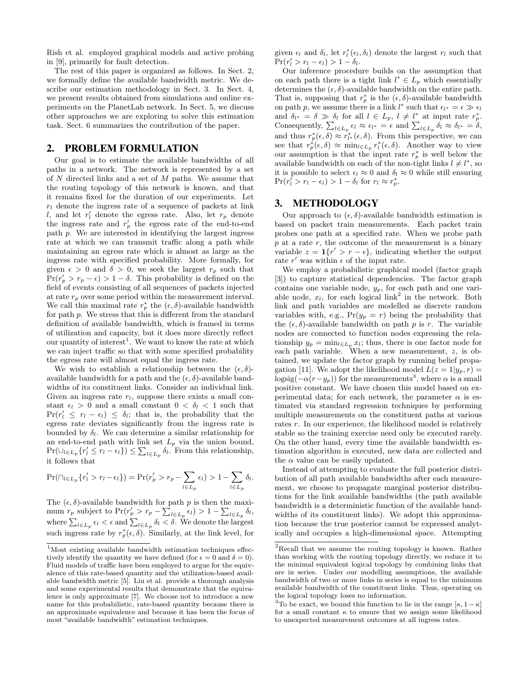Rish et al. employed graphical models and active probing in [9], primarily for fault detection.

The rest of this paper is organized as follows. In Sect. 2, we formally define the available bandwidth metric. We describe our estimation methodology in Sect. 3. In Sect. 4, we present results obtained from simulations and online experiments on the PlanetLab network. In Sect. 5, we discuss other approaches we are exploring to solve this estimation task. Sect. 6 summarizes the contribution of the paper.

#### 2. PROBLEM FORMULATION

Our goal is to estimate the available bandwidths of all paths in a network. The network is represented by a set of N directed links and a set of M paths. We assume that the routing topology of this network is known, and that it remains fixed for the duration of our experiments. Let  $r_l$  denote the ingress rate of a sequence of packets at link l, and let  $r'_l$  denote the egress rate. Also, let  $r_p$  denote the ingress rate and  $r'_p$  the egress rate of the end-to-end path p. We are interested in identifying the largest ingress rate at which we can transmit traffic along a path while maintaining an egress rate which is almost as large as the ingress rate with specified probability. More formally, for given  $\epsilon > 0$  and  $\delta > 0$ , we seek the largest  $r_p$  such that  $Pr(r'_p > r_p - \epsilon) > 1 - \delta$ . This probability is defined on the field of events consisting of all sequences of packets injected at rate  $r_p$  over some period within the measurement interval. We call this maximal rate  $r_p^*$  the  $(\epsilon, \delta)$ -available bandwidth for path p. We stress that this is different from the standard definition of available bandwidth, which is framed in terms of utilization and capacity, but it does more directly reflect our quantity of interest<sup>1</sup>. We want to know the rate at which we can inject traffic so that with some specified probability the egress rate will almost equal the ingress rate.

We wish to establish a relationship between the  $(\epsilon, \delta)$ available bandwidth for a path and the  $(\epsilon, \delta)$ -available bandwidths of its constituent links. Consider an individual link. Given an ingress rate  $r_l$ , suppose there exists a small constant  $\epsilon_l > 0$  and a small constant  $0 < \delta_l < 1$  such that  $Pr(r'_l \leq r_l - \epsilon_l) \leq \delta_l$ ; that is, the probability that the egress rate deviates significantly from the ingress rate is bounded by  $\delta_l$ . We can determine a similar relationship for an end-to-end path with link set  $L_p$  via the union bound,  $Pr(\cup_{l \in L_p} \{r'_l \leq r_l - \epsilon_l\}) \leq \sum_{l \in L_p} \delta_l$ . From this relationship, it follows that

$$
\Pr(\bigcap_{l \in L_p} \{r'_l > r_l - \epsilon_l\}) = \Pr(r'_p > r_p - \sum_{l \in L_p} \epsilon_l) > 1 - \sum_{l \in L_p} \delta_l.
$$

The  $(\epsilon, \delta)$ -available bandwidth for path p is then the maximum  $r_p$  subject to  $Pr(r'_p > r_p - \sum_{l \in L_p} \epsilon_l) > 1 - \sum_{l \in L_p} \delta_l$ , where  $\sum_{l\in L_p}\epsilon_l<\epsilon$  and  $\sum_{l\in L_p}\delta_l<\delta$ . We denote the largest such ingress rate by  $r_p^*(\epsilon, \delta)$ . Similarly, at the link level, for

given  $\epsilon_l$  and  $\delta_l$ , let  $r_l^*(\epsilon_l, \delta_l)$  denote the largest  $r_l$  such that  $Pr(r'_l > r_l - \epsilon_l) > 1 - \delta_l.$ 

Our inference procedure builds on the assumption that on each path there is a tight link  $l^* \in L_p$  which essentially determines the  $(\epsilon, \delta)$ -available bandwidth on the entire path. That is, supposing that  $r_p^*$  is the  $(\epsilon, \delta)$ -available bandwidth on path p, we assume there is a link  $l^*$  such that  $\epsilon_{l^*} = \epsilon \gg \epsilon_l$ and  $\delta_{l^*} = \delta \gg \delta_l$  for all  $l \in L_p$ ,  $l \neq l^*$  at input rate  $r_p^*$ . Consequently,  $\sum_{l\in L_p} \epsilon_l \approx \epsilon_{l^*} = \epsilon$  and  $\sum_{l\in L_p} \delta_l \approx \delta_{l^*} = \delta$ , and thus  $r_p^*(\epsilon, \delta) \approx r_{l^*}^*(\epsilon, \delta)$ . From this perspective, we can see that  $r_p^*(\epsilon, \delta) \approx \min_{l \in L_p} r_l^*(\epsilon, \delta)$ . Another way to view our assumption is that the input rate  $r_p^*$  is well below the available bandwidth on each of the non-tight links  $l \neq l^*$ , so it is possible to select  $\epsilon_l \approx 0$  and  $\delta_l \approx 0$  while still ensuring  $\Pr(r_l^{\bar{\prime}} > r_l - \epsilon_l) > 1 - \delta_l \text{ for } r_l \approx r_p^*.$ 

#### 3. METHODOLOGY

Our approach to  $(\epsilon, \delta)$ -available bandwidth estimation is based on packet train measurements. Each packet train probes one path at a specified rate. When we probe path  $p$  at a rate  $r$ , the outcome of the measurement is a binary variable  $z = \mathbf{1}\{r' > r - \epsilon\}$ , indicating whether the output rate  $r'$  was within  $\epsilon$  of the input rate.

We employ a probabilistic graphical model (factor graph [3]) to capture statistical dependencies. The factor graph contains one variable node,  $y_p$ , for each path and one variable node,  $x_l$ , for each logical link<sup>2</sup> in the network. Both link and path variables are modelled as discrete random variables with, e.g.,  $Pr(y_p = r)$  being the probability that the  $(\epsilon, \delta)$ -available bandwidth on path p is r. The variable nodes are connected to function nodes expressing the relationship  $y_p = \min_{l \in L_p} x_l$ ; thus, there is one factor node for each path variable. When a new measurement, z, is obtained, we update the factor graph by running belief propagation [11]. We adopt the likelihood model  $L(z = 1|y_p, r) =$  $\log sig(-\alpha(r-y_p))$  for the measurements<sup>3</sup>, where  $\alpha$  is a small positive constant. We have chosen this model based on experimental data; for each network, the parameter  $\alpha$  is estimated via standard regression techniques by performing multiple measurements on the constituent paths at various rates r. In our experience, the likelihood model is relatively stable so the training exercise need only be executed rarely. On the other hand, every time the available bandwidth estimation algorithm is executed, new data are collected and the  $\alpha$  value can be easily updated.

Instead of attempting to evaluate the full posterior distribution of all path available bandwidths after each measurement, we choose to propagate marginal posterior distributions for the link available bandwidths (the path available bandwidth is a deterministic function of the available bandwidths of its constituent links). We adopt this approximation because the true posterior cannot be expressed analytically and occupies a high-dimensional space. Attempting

 $1$ Most existing available bandwidth estimation techniques effectively identify the quantity we have defined (for  $\epsilon = 0$  and  $\delta = 0$ ). Fluid models of traffic have been employed to argue for the equivalence of this rate-based quantity and the utilization-based available bandwidth metric [5]. Liu et al. provide a thorough analysis and some experimental results that demonstrate that the equivalence is only approximate [7]. We choose not to introduce a new name for this probabilistic, rate-based quantity because there is an approximate equivalence and because it has been the focus of most "available bandwidth" estimation techniques.

<sup>2</sup>Recall that we assume the routing topology is known. Rather than working with the routing topology directly, we reduce it to the minimal equivalent logical topology by combining links that are in series. Under our modelling assumptions, the available bandwidth of two or more links in series is equal to the minimum available bandwidth of the constituent links. Thus, operating on the logical topology loses no information.

 $^3\text{To be exact, we bound this function to lie in the range } [\kappa, 1-\kappa]$ for a small constant  $\kappa$  to ensure that we assign some likelihood to unexpected measurement outcomes at all ingress rates.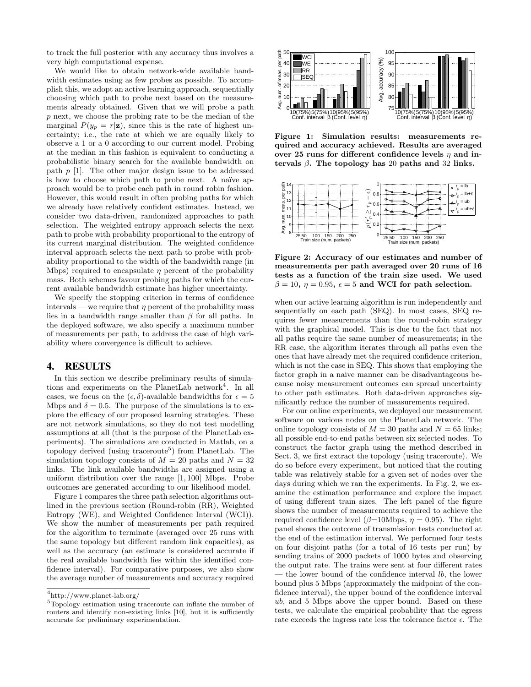to track the full posterior with any accuracy thus involves a very high computational expense.

We would like to obtain network-wide available bandwidth estimates using as few probes as possible. To accomplish this, we adopt an active learning approach, sequentially choosing which path to probe next based on the measurements already obtained. Given that we will probe a path p next, we choose the probing rate to be the median of the marginal  $P(y_p = r|\mathbf{z})$ , since this is the rate of highest uncertainty; i.e., the rate at which we are equally likely to observe a 1 or a 0 according to our current model. Probing at the median in this fashion is equivalent to conducting a probabilistic binary search for the available bandwidth on path  $p$  [1]. The other major design issue to be addressed is how to choose which path to probe next. A naïve approach would be to probe each path in round robin fashion. However, this would result in often probing paths for which we already have relatively confident estimates. Instead, we consider two data-driven, randomized approaches to path selection. The weighted entropy approach selects the next path to probe with probability proportional to the entropy of its current marginal distribution. The weighted confidence interval approach selects the next path to probe with probability proportional to the width of the bandwidth range (in Mbps) required to encapsulate  $\eta$  percent of the probability mass. Both schemes favour probing paths for which the current available bandwidth estimate has higher uncertainty.

We specify the stopping criterion in terms of confidence intervals — we require that  $\eta$  percent of the probability mass lies in a bandwidth range smaller than  $\beta$  for all paths. In the deployed software, we also specify a maximum number of measurements per path, to address the case of high variability where convergence is difficult to achieve.

#### 4. RESULTS

In this section we describe preliminary results of simulations and experiments on the PlanetLab network<sup>4</sup>. In all cases, we focus on the  $(\epsilon, \delta)$ -available bandwidths for  $\epsilon = 5$ Mbps and  $\delta = 0.5$ . The purpose of the simulations is to explore the efficacy of our proposed learning strategies. These are not network simulations, so they do not test modelling assumptions at all (that is the purpose of the PlanetLab experiments). The simulations are conducted in Matlab, on a topology derived (using traceroute<sup>5</sup>) from PlanetLab. The simulation topology consists of  $M = 20$  paths and  $N = 32$ links. The link available bandwidths are assigned using a uniform distribution over the range [1, 100] Mbps. Probe outcomes are generated according to our likelihood model.

Figure 1 compares the three path selection algorithms outlined in the previous section (Round-robin (RR), Weighted Entropy (WE), and Weighted Confidence Interval (WCI)). We show the number of measurements per path required for the algorithm to terminate (averaged over 25 runs with the same topology but different random link capacities), as well as the accuracy (an estimate is considered accurate if the real available bandwidth lies within the identified confidence interval). For comparative purposes, we also show the average number of measurements and accuracy required



Figure 1: Simulation results: measurements required and accuracy achieved. Results are averaged over 25 runs for different confidence levels  $\eta$  and intervals  $\beta$ . The topology has 20 paths and 32 links.



Figure 2: Accuracy of our estimates and number of measurements per path averaged over 20 runs of 16 tests as a function of the train size used. We used  $\beta = 10, \eta = 0.95, \epsilon = 5$  and WCI for path selection.

when our active learning algorithm is run independently and sequentially on each path (SEQ). In most cases, SEQ requires fewer measurements than the round-robin strategy with the graphical model. This is due to the fact that not all paths require the same number of measurements; in the RR case, the algorithm iterates through all paths even the ones that have already met the required confidence criterion, which is not the case in SEQ. This shows that employing the factor graph in a naive manner can be disadvantageous because noisy measurement outcomes can spread uncertainty to other path estimates. Both data-driven approaches significantly reduce the number of measurements required.

For our online experiments, we deployed our measurement software on various nodes on the PlanetLab network. The online topology consists of  $M = 30$  paths and  $N = 65$  links; all possible end-to-end paths between six selected nodes. To construct the factor graph using the method described in Sect. 3, we first extract the topology (using traceroute). We do so before every experiment, but noticed that the routing table was relatively stable for a given set of nodes over the days during which we ran the experiments. In Fig. 2, we examine the estimation performance and explore the impact of using different train sizes. The left panel of the figure shows the number of measurements required to achieve the required confidence level ( $\beta$ =10Mbps,  $\eta$  = 0.95). The right panel shows the outcome of transmission tests conducted at the end of the estimation interval. We performed four tests on four disjoint paths (for a total of 16 tests per run) by sending trains of 2000 packets of 1000 bytes and observing the output rate. The trains were sent at four different rates — the lower bound of the confidence interval  $lb$ , the lower bound plus 5 Mbps (approximately the midpoint of the confidence interval), the upper bound of the confidence interval ub, and 5 Mbps above the upper bound. Based on these tests, we calculate the empirical probability that the egress rate exceeds the ingress rate less the tolerance factor  $\epsilon$ . The

<sup>4</sup> http://www.planet-lab.org/

<sup>5</sup>Topology estimation using traceroute can inflate the number of routers and identify non-existing links [10], but it is sufficiently accurate for preliminary experimentation.